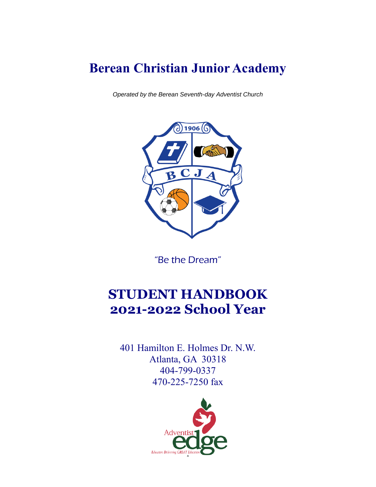# **Berean Christian Junior Academy**

*Operated by the Berean Seventh-day Adventist Church*



"Be the Dream"

# **STUDENT HANDBOOK 2021-2022 School Year**

401 Hamilton E. Holmes Dr. N.W. Atlanta, GA 30318 404-799-0337 470-225-7250 fax

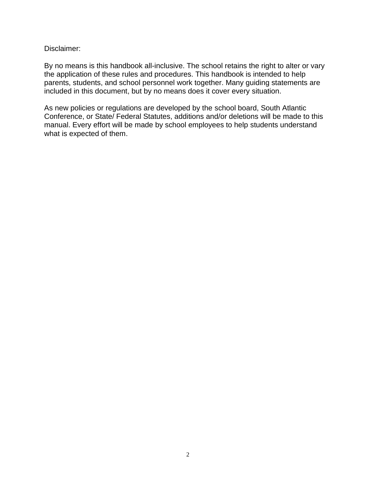Disclaimer:

By no means is this handbook all-inclusive. The school retains the right to alter or vary the application of these rules and procedures. This handbook is intended to help parents, students, and school personnel work together. Many guiding statements are included in this document, but by no means does it cover every situation.

As new policies or regulations are developed by the school board, South Atlantic Conference, or State/ Federal Statutes, additions and/or deletions will be made to this manual. Every effort will be made by school employees to help students understand what is expected of them.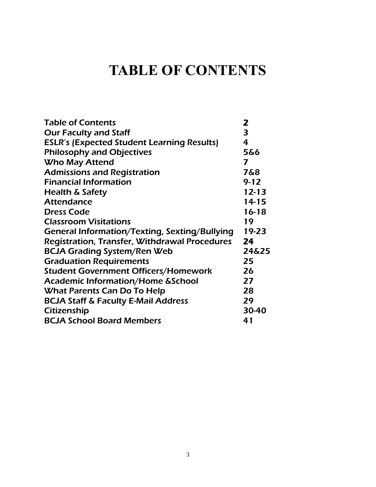# **TABLE OF CONTENTS**

| <b>Table of Contents</b>                             | 2         |
|------------------------------------------------------|-----------|
| <b>Our Faculty and Staff</b>                         | 3         |
| <b>ESLR's (Expected Student Learning Results)</b>    | 4         |
| <b>Philosophy and Objectives</b>                     | 5&6       |
| <b>Who May Attend</b>                                | 7         |
| <b>Admissions and Registration</b>                   | 7&8       |
| <b>Financial Information</b>                         | $9 - 12$  |
| <b>Health &amp; Safety</b>                           | $12 - 13$ |
| <b>Attendance</b>                                    | $14 - 15$ |
| <b>Dress Code</b>                                    | $16 - 18$ |
| <b>Classroom Visitations</b>                         | 19        |
| General Information/Texting, Sexting/Bullying        | 19-23     |
| <b>Registration, Transfer, Withdrawal Procedures</b> | 24        |
| <b>BCJA Grading System/Ren Web</b>                   | 24&25     |
| <b>Graduation Requirements</b>                       | 25        |
| <b>Student Government Officers/Homework</b>          | 26        |
| <b>Academic Information/Home &amp;School</b>         | 27        |
| What Parents Can Do To Help                          | 28        |
| <b>BCJA Staff &amp; Faculty E-Mail Address</b>       | 29        |
| Citizenship                                          | 30-40     |
| <b>BCJA School Board Members</b>                     | 41        |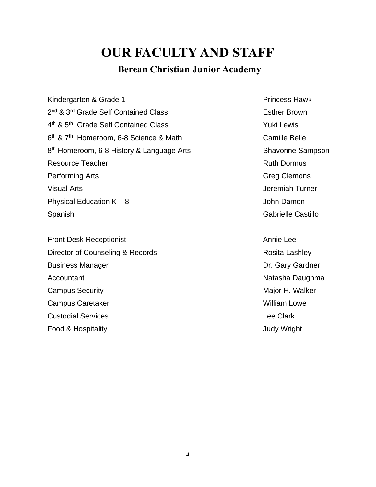# **OUR FACULTY AND STAFF**

## **Berean Christian Junior Academy**

Kindergarten & Grade 1 Princess Hawk 2<sup>nd</sup> & 3<sup>rd</sup> Grade Self Contained Class **External Strutter Brown** 4<sup>th</sup> & 5<sup>th</sup> Grade Self Contained Class **The Contained Class** Yuki Lewis 6<sup>th</sup> & 7<sup>th</sup> Homeroom, 6-8 Science & Math Camille Belle 8<sup>th</sup> Homeroom, 6-8 History & Language Arts **Shawonne Sampson** Resource Teacher **Ruth Dormus** Ruth Dormus Performing Arts Visual Arts Physical Education  $K - 8$ Spanish

Front Desk Receptionist Annie Lee Director of Counseling & Records **Rosita Lashley** Rosita Lashley Business Manager **Accountant** Campus Security **Major H. Walker** Campus Security **Major H. Walker** Campus Caretaker North Campus Caretaker Nulliam Lowe Custodial Services Food & Hospitality

Greg Clemons Jeremiah Turner John Damon Gabrielle Castillo

Dr. Gary Gardner Natasha Daughma Lee Clark Judy Wright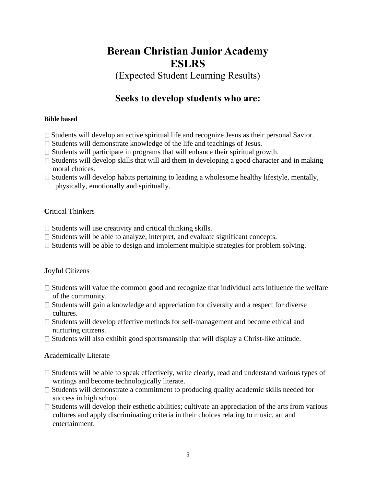## **Berean Christian Junior Academy ESLRS**

(Expected Student Learning Results)

## **Seeks to develop students who are:**

### **Bible based**

- $\Box$  Students will develop an active spiritual life and recognize Jesus as their personal Savior.
- $\Box$  Students will demonstrate knowledge of the life and teachings of Jesus.
- $\Box$  Students will participate in programs that will enhance their spiritual growth.
- $\Box$  Students will develop skills that will aid them in developing a good character and in making moral choices.
- $\Box$  Students will develop habits pertaining to leading a wholesome healthy lifestyle, mentally, physically, emotionally and spiritually.

### **C**ritical Thinkers

- $\Box$  Students will use creativity and critical thinking skills.
- $\Box$  Students will be able to analyze, interpret, and evaluate significant concepts.
- $\Box$  Students will be able to design and implement multiple strategies for problem solving.

### **J**oyful Citizens

- $\Box$  Students will value the common good and recognize that individual acts influence the welfare of the community.
- $\Box$  Students will gain a knowledge and appreciation for diversity and a respect for diverse cultures.
- $\Box$  Students will develop effective methods for self-management and become ethical and nurturing citizens.
- $\Box$  Students will also exhibit good sportsmanship that will display a Christ-like attitude.

### **A**cademically Literate

- $\Box$  Students will be able to speak effectively, write clearly, read and understand various types of writings and become technologically literate.
- $\Box$  Students will demonstrate a commitment to producing quality academic skills needed for success in high school.
- $\Box$  Students will develop their esthetic abilities; cultivate an appreciation of the arts from various cultures and apply discriminating criteria in their choices relating to music, art and entertainment.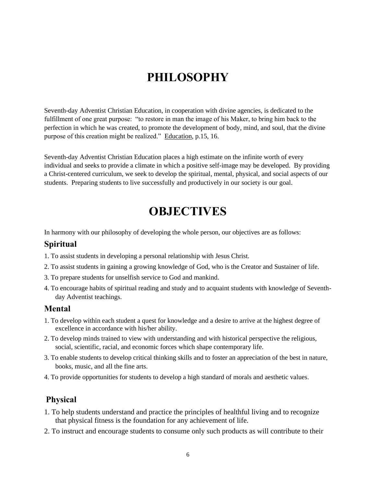## **PHILOSOPHY**

Seventh-day Adventist Christian Education, in cooperation with divine agencies, is dedicated to the fulfillment of one great purpose: "to restore in man the image of his Maker, to bring him back to the perfection in which he was created, to promote the development of body, mind, and soul, that the divine purpose of this creation might be realized." Education, p.15, 16.

Seventh-day Adventist Christian Education places a high estimate on the infinite worth of every individual and seeks to provide a climate in which a positive self-image may be developed. By providing a Christ-centered curriculum, we seek to develop the spiritual, mental, physical, and social aspects of our students. Preparing students to live successfully and productively in our society is our goal.

## **OBJECTIVES**

In harmony with our philosophy of developing the whole person, our objectives are as follows:

### **Spiritual**

- 1. To assist students in developing a personal relationship with Jesus Christ.
- 2. To assist students in gaining a growing knowledge of God, who is the Creator and Sustainer of life.
- 3. To prepare students for unselfish service to God and mankind.
- 4. To encourage habits of spiritual reading and study and to acquaint students with knowledge of Seventhday Adventist teachings.

### **Mental**

- 1. To develop within each student a quest for knowledge and a desire to arrive at the highest degree of excellence in accordance with his/her ability.
- 2. To develop minds trained to view with understanding and with historical perspective the religious, social, scientific, racial, and economic forces which shape contemporary life.
- 3. To enable students to develop critical thinking skills and to foster an appreciation of the best in nature, books, music, and all the fine arts.
- 4. To provide opportunities for students to develop a high standard of morals and aesthetic values.

## **Physical**

- 1. To help students understand and practice the principles of healthful living and to recognize that physical fitness is the foundation for any achievement of life.
- 2. To instruct and encourage students to consume only such products as will contribute to their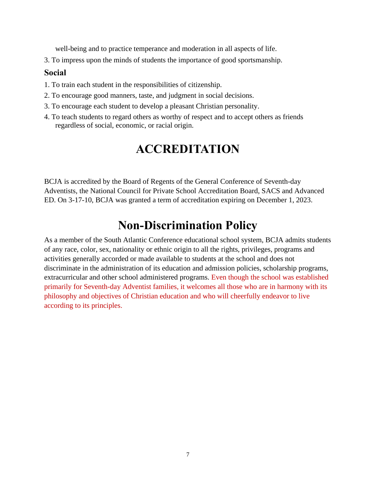well-being and to practice temperance and moderation in all aspects of life.

3. To impress upon the minds of students the importance of good sportsmanship.

### **Social**

- 1. To train each student in the responsibilities of citizenship.
- 2. To encourage good manners, taste, and judgment in social decisions.
- 3. To encourage each student to develop a pleasant Christian personality.
- 4. To teach students to regard others as worthy of respect and to accept others as friends regardless of social, economic, or racial origin.

## **ACCREDITATION**

BCJA is accredited by the Board of Regents of the General Conference of Seventh-day Adventists, the National Council for Private School Accreditation Board, SACS and Advanced ED. On 3-17-10, BCJA was granted a term of accreditation expiring on December 1, 2023.

## **Non-Discrimination Policy**

As a member of the South Atlantic Conference educational school system, BCJA admits students of any race, color, sex, nationality or ethnic origin to all the rights, privileges, programs and activities generally accorded or made available to students at the school and does not discriminate in the administration of its education and admission policies, scholarship programs, extracurricular and other school administered programs. Even though the school was established primarily for Seventh-day Adventist families, it welcomes all those who are in harmony with its philosophy and objectives of Christian education and who will cheerfully endeavor to live according to its principles.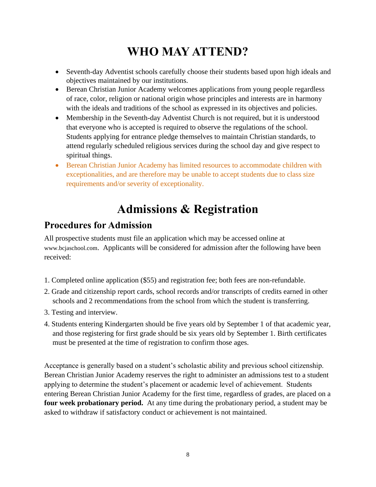# **WHO MAY ATTEND?**

- Seventh-day Adventist schools carefully choose their students based upon high ideals and objectives maintained by our institutions.
- Berean Christian Junior Academy welcomes applications from young people regardless of race, color, religion or national origin whose principles and interests are in harmony with the ideals and traditions of the school as expressed in its objectives and policies.
- Membership in the Seventh-day Adventist Church is not required, but it is understood that everyone who is accepted is required to observe the regulations of the school. Students applying for entrance pledge themselves to maintain Christian standards, to attend regularly scheduled religious services during the school day and give respect to spiritual things.
- Berean Christian Junior Academy has limited resources to accommodate children with exceptionalities, and are therefore may be unable to accept students due to class size requirements and/or severity of exceptionality.

# **Admissions & Registration**

## **Procedures for Admission**

All prospective students must file an application which may be accessed online at www.bcjaschool.com. Applicants will be considered for admission after the following have been received:

- 1. Completed online application (\$55) and registration fee; both fees are non-refundable.
- 2. Grade and citizenship report cards, school records and/or transcripts of credits earned in other schools and 2 recommendations from the school from which the student is transferring.
- 3. Testing and interview.
- 4. Students entering Kindergarten should be five years old by September 1 of that academic year, and those registering for first grade should be six years old by September 1. Birth certificates must be presented at the time of registration to confirm those ages.

Acceptance is generally based on a student's scholastic ability and previous school citizenship. Berean Christian Junior Academy reserves the right to administer an admissions test to a student applying to determine the student's placement or academic level of achievement. Students entering Berean Christian Junior Academy for the first time, regardless of grades, are placed on a **four week probationary period.** At any time during the probationary period, a student may be asked to withdraw if satisfactory conduct or achievement is not maintained.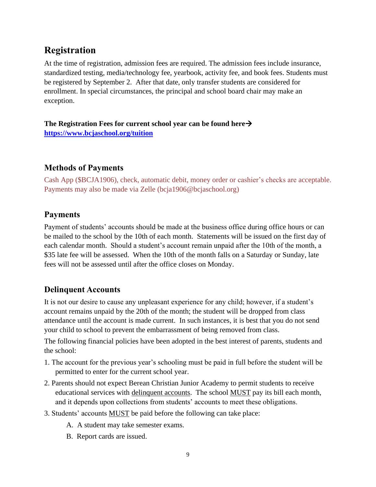## **Registration**

At the time of registration, admission fees are required. The admission fees include insurance, standardized testing, media/technology fee, yearbook, activity fee, and book fees. Students must be registered by September 2. After that date, only transfer students are considered for enrollment. In special circumstances, the principal and school board chair may make an exception.

**The Registration Fees for current school year can be found here**→ **<https://www.bcjaschool.org/tuition>**

## **Methods of Payments**

Cash App (\$BCJA1906), check, automatic debit, money order or cashier's checks are acceptable. Payments may also be made via Zelle (bcja1906@bcjaschool.org)

## **Payments**

Payment of students' accounts should be made at the business office during office hours or can be mailed to the school by the 10th of each month. Statements will be issued on the first day of each calendar month. Should a student's account remain unpaid after the 10th of the month, a \$35 late fee will be assessed. When the 10th of the month falls on a Saturday or Sunday, late fees will not be assessed until after the office closes on Monday.

## **Delinquent Accounts**

It is not our desire to cause any unpleasant experience for any child; however, if a student's account remains unpaid by the 20th of the month; the student will be dropped from class attendance until the account is made current. In such instances, it is best that you do not send your child to school to prevent the embarrassment of being removed from class.

The following financial policies have been adopted in the best interest of parents, students and the school:

- 1. The account for the previous year's schooling must be paid in full before the student will be permitted to enter for the current school year.
- 2. Parents should not expect Berean Christian Junior Academy to permit students to receive educational services with delinquent accounts. The school MUST pay its bill each month, and it depends upon collections from students' accounts to meet these obligations.
- 3. Students' accounts MUST be paid before the following can take place:
	- A. A student may take semester exams.
	- B. Report cards are issued.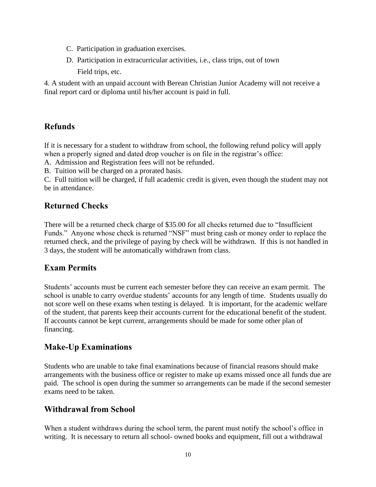- C. Participation in graduation exercises.
- D. Participation in extracurricular activities, i.e., class trips, out of town Field trips, etc.

4. A student with an unpaid account with Berean Christian Junior Academy will not receive a final report card or diploma until his/her account is paid in full.

## **Refunds**

If it is necessary for a student to withdraw from school, the following refund policy will apply when a properly signed and dated drop voucher is on file in the registrar's office:

A. Admission and Registration fees will not be refunded.

B. Tuition will be charged on a prorated basis.

C. Full tuition will be charged, if full academic credit is given, even though the student may not be in attendance.

## **Returned Checks**

There will be a returned check charge of \$35.00 for all checks returned due to "Insufficient Funds." Anyone whose check is returned "NSF" must bring cash or money order to replace the returned check, and the privilege of paying by check will be withdrawn. If this is not handled in 3 days, the student will be automatically withdrawn from class.

## **Exam Permits**

Students' accounts must be current each semester before they can receive an exam permit. The school is unable to carry overdue students' accounts for any length of time. Students usually do not score well on these exams when testing is delayed. It is important, for the academic welfare of the student, that parents keep their accounts current for the educational benefit of the student. If accounts cannot be kept current, arrangements should be made for some other plan of financing.

## **Make-Up Examinations**

Students who are unable to take final examinations because of financial reasons should make arrangements with the business office or register to make up exams missed once all funds due are paid. The school is open during the summer so arrangements can be made if the second semester exams need to be taken.

## **Withdrawal from School**

When a student withdraws during the school term, the parent must notify the school's office in writing. It is necessary to return all school- owned books and equipment, fill out a withdrawal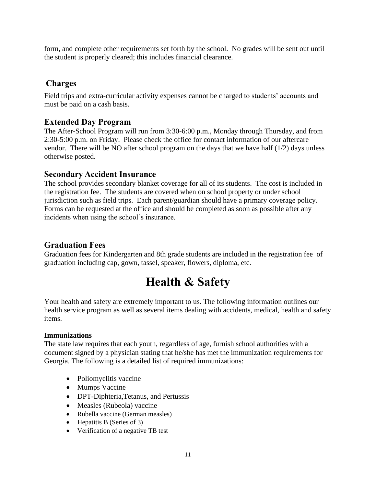form, and complete other requirements set forth by the school. No grades will be sent out until the student is properly cleared; this includes financial clearance.

## **Charges**

Field trips and extra-curricular activity expenses cannot be charged to students' accounts and must be paid on a cash basis.

### **Extended Day Program**

The After-School Program will run from 3:30-6:00 p.m., Monday through Thursday, and from 2:30-5:00 p.m. on Friday. Please check the office for contact information of our aftercare vendor. There will be NO after school program on the days that we have half (1/2) days unless otherwise posted.

### **Secondary Accident Insurance**

The school provides secondary blanket coverage for all of its students. The cost is included in the registration fee. The students are covered when on school property or under school jurisdiction such as field trips. Each parent/guardian should have a primary coverage policy. Forms can be requested at the office and should be completed as soon as possible after any incidents when using the school's insurance.

## **Graduation Fees**

Graduation fees for Kindergarten and 8th grade students are included in the registration fee of graduation including cap, gown, tassel, speaker, flowers, diploma, etc.

# **Health & Safety**

Your health and safety are extremely important to us. The following information outlines our health service program as well as several items dealing with accidents, medical, health and safety items.

### **Immunizations**

The state law requires that each youth, regardless of age, furnish school authorities with a document signed by a physician stating that he/she has met the immunization requirements for Georgia. The following is a detailed list of required immunizations:

- Poliomyelitis vaccine
- Mumps Vaccine
- DPT-Diphteria,Tetanus, and Pertussis
- Measles (Rubeola) vaccine
- Rubella vaccine (German measles)
- Hepatitis B (Series of 3)
- Verification of a negative TB test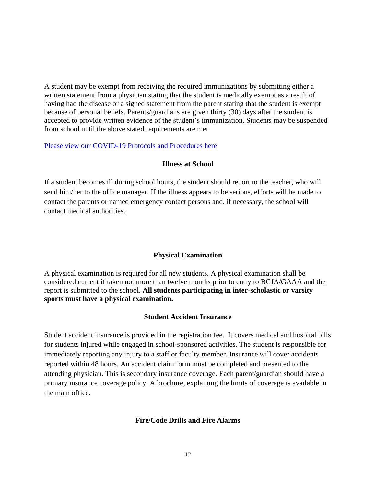A student may be exempt from receiving the required immunizations by submitting either a written statement from a physician stating that the student is medically exempt as a result of having had the disease or a signed statement from the parent stating that the student is exempt because of personal beliefs. Parents/guardians are given thirty (30) days after the student is accepted to provide written evidence of the student's immunization. Students may be suspended from school until the above stated requirements are met.

### [Please view our COVID-19 Protocols and Procedures here](https://edf5524d-aeb0-473a-932a-f3fa884a9e0f.filesusr.com/ugd/f7611a_811a4542ed234716a72bb030f3079b28.pdf)

### **Illness at School**

If a student becomes ill during school hours, the student should report to the teacher, who will send him/her to the office manager. If the illness appears to be serious, efforts will be made to contact the parents or named emergency contact persons and, if necessary, the school will contact medical authorities.

### **Physical Examination**

A physical examination is required for all new students. A physical examination shall be considered current if taken not more than twelve months prior to entry to BCJA/GAAA and the report is submitted to the school. **All students participating in inter-scholastic or varsity sports must have a physical examination.**

#### **Student Accident Insurance**

Student accident insurance is provided in the registration fee. It covers medical and hospital bills for students injured while engaged in school-sponsored activities. The student is responsible for immediately reporting any injury to a staff or faculty member. Insurance will cover accidents reported within 48 hours. An accident claim form must be completed and presented to the attending physician. This is secondary insurance coverage. Each parent/guardian should have a primary insurance coverage policy. A brochure, explaining the limits of coverage is available in the main office.

#### **Fire/Code Drills and Fire Alarms**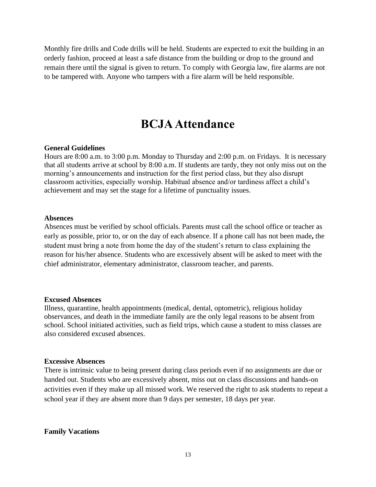Monthly fire drills and Code drills will be held. Students are expected to exit the building in an orderly fashion, proceed at least a safe distance from the building or drop to the ground and remain there until the signal is given to return. To comply with Georgia law, fire alarms are not to be tampered with. Anyone who tampers with a fire alarm will be held responsible.

## **BCJA Attendance**

#### **General Guidelines**

Hours are 8:00 a.m. to 3:00 p.m. Monday to Thursday and 2:00 p.m. on Fridays. It is necessary that all students arrive at school by 8:00 a.m. If students are tardy, they not only miss out on the morning's announcements and instruction for the first period class, but they also disrupt classroom activities, especially worship. Habitual absence and/or tardiness affect a child's achievement and may set the stage for a lifetime of punctuality issues.

#### **Absences**

Absences must be verified by school officials. Parents must call the school office or teacher as early as possible, prior to, or on the day of each absence. If a phone call has not been made**,** the student must bring a note from home the day of the student's return to class explaining the reason for his/her absence. Students who are excessively absent will be asked to meet with the chief administrator, elementary administrator, classroom teacher, and parents.

#### **Excused Absences**

Illness, quarantine, health appointments (medical, dental, optometric), religious holiday observances, and death in the immediate family are the only legal reasons to be absent from school. School initiated activities, such as field trips, which cause a student to miss classes are also considered excused absences.

#### **Excessive Absences**

There is intrinsic value to being present during class periods even if no assignments are due or handed out. Students who are excessively absent, miss out on class discussions and hands-on activities even if they make up all missed work. We reserved the right to ask students to repeat a school year if they are absent more than 9 days per semester, 18 days per year.

#### **Family Vacations**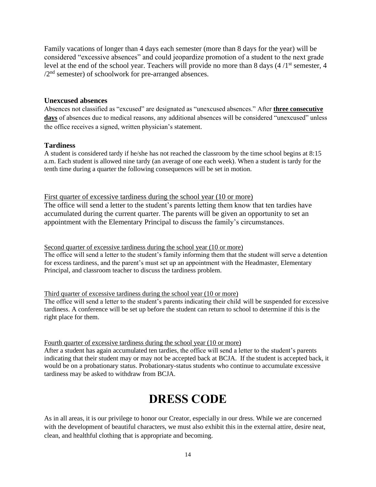Family vacations of longer than 4 days each semester (more than 8 days for the year) will be considered "excessive absences" and could jeopardize promotion of a student to the next grade level at the end of the school year. Teachers will provide no more than 8 days  $(4/1<sup>st</sup>$  semester, 4  $/2<sup>nd</sup>$  semester) of schoolwork for pre-arranged absences.

#### **Unexcused absences**

Absences not classified as "excused" are designated as "unexcused absences." After **three consecutive**  days of absences due to medical reasons, any additional absences will be considered "unexcused" unless the office receives a signed, written physician's statement.

#### **Tardiness**

A student is considered tardy if he/she has not reached the classroom by the time school begins at 8:15 a.m. Each student is allowed nine tardy (an average of one each week). When a student is tardy for the tenth time during a quarter the following consequences will be set in motion.

First quarter of excessive tardiness during the school year (10 or more) The office will send a letter to the student's parents letting them know that ten tardies have accumulated during the current quarter. The parents will be given an opportunity to set an appointment with the Elementary Principal to discuss the family's circumstances.

Second quarter of excessive tardiness during the school year (10 or more) The office will send a letter to the student's family informing them that the student will serve a detention for excess tardiness, and the parent's must set up an appointment with the Headmaster, Elementary Principal, and classroom teacher to discuss the tardiness problem.

#### Third quarter of excessive tardiness during the school year (10 or more)

The office will send a letter to the student's parents indicating their child will be suspended for excessive tardiness. A conference will be set up before the student can return to school to determine if this is the right place for them.

#### Fourth quarter of excessive tardiness during the school year (10 or more)

After a student has again accumulated ten tardies, the office will send a letter to the student's parents indicating that their student may or may not be accepted back at BCJA. If the student is accepted back, it would be on a probationary status. Probationary-status students who continue to accumulate excessive tardiness may be asked to withdraw from BCJA.

## **DRESS CODE**

As in all areas, it is our privilege to honor our Creator, especially in our dress. While we are concerned with the development of beautiful characters, we must also exhibit this in the external attire, desire neat, clean, and healthful clothing that is appropriate and becoming.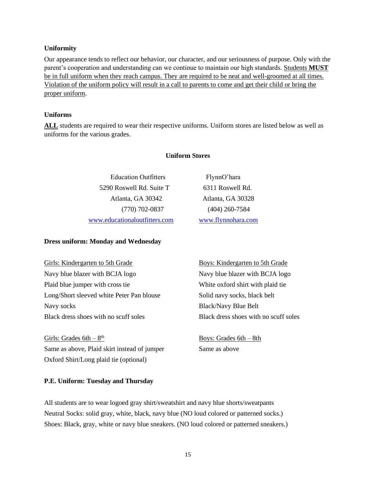#### **Uniformity**

Our appearance tends to reflect our behavior, our character, and our seriousness of purpose. Only with the parent's cooperation and understanding can we continue to maintain our high standards. Students **MUST** be in full uniform when they reach campus. They are required to be neat and well-groomed at all times. Violation of the uniform policy will result in a call to parents to come and get their child or bring the proper uniform.

#### **Uniforms**

**ALL** students are required to wear their respective uniforms. Uniform stores are listed below as well as uniforms for the various grades.

#### **Uniform Stores**

Education Outfitters FlynnO'hara 5290 Roswell Rd. Suite T 6311 Roswell Rd. Atlanta, GA 30342 Atlanta, GA 30328 (770) 702-0837 (404) 260-7584 [www.educationaloutfitters.com](http://www.educationaloutfitters.com/) [www.flynnohara.com](http://www.flynnohara.com/)

#### **Dress uniform: Monday and Wednesday**

Girls: Kindergarten to 5th Grade Boys: Kindergarten to 5th Grade Navy blue blazer with BCJA logo Navy blue blazer with BCJA logo Plaid blue jumper with cross tie White oxford shirt with plaid tie Long/Short sleeved white Peter Pan blouse Solid navy socks, black belt Navy socks Black/Navy Blue Belt Black dress shoes with no scuff soles Black dress shoes with no scuff soles

Girls: Grades  $6th - 8<sup>th</sup>$ Same as above, Plaid skirt instead of jumper Same as above Oxford Shirt/Long plaid tie (optional)

Boys: Grades  $6th - 8th$ 

#### **P.E. Uniform: Tuesday and Thursday**

All students are to wear logoed gray shirt/sweatshirt and navy blue shorts/sweatpants Neutral Socks: solid gray, white, black, navy blue (NO loud colored or patterned socks.) Shoes: Black, gray, white or navy blue sneakers. (NO loud colored or patterned sneakers.)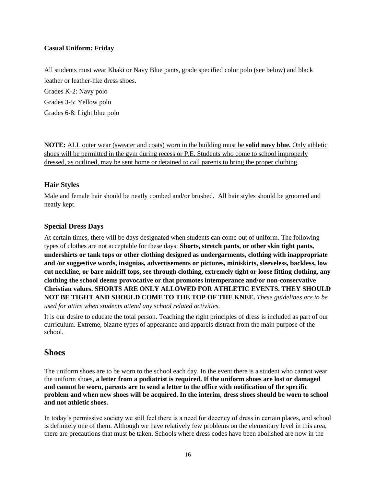#### **Casual Uniform: Friday**

All students must wear Khaki or Navy Blue pants, grade specified color polo (see below) and black leather or leather-like dress shoes.

Grades K-2: Navy polo Grades 3-5: Yellow polo Grades 6-8: Light blue polo

**NOTE:** ALL outer wear (sweater and coats) worn in the building must be **solid navy blue.** Only athletic shoes will be permitted in the gym during recess or P.E. Students who come to school improperly dressed, as outlined, may be sent home or detained to call parents to bring the proper clothing.

### **Hair Styles**

Male and female hair should be neatly combed and/or brushed. All hair styles should be groomed and neatly kept.

### **Special Dress Days**

At certain times, there will be days designated when students can come out of uniform. The following types of clothes are not acceptable for these days: **Shorts, stretch pants, or other skin tight pants, undershirts or tank tops or other clothing designed as undergarments, clothing with inappropriate and /or suggestive words, insignias, advertisements or pictures, miniskirts, sleeveless, backless, low cut neckline, or bare midriff tops, see through clothing, extremely tight or loose fitting clothing, any clothing the school deems provocative or that promotes intemperance and/or non-conservative Christian values. SHORTS ARE ONLY ALLOWED FOR ATHLETIC EVENTS. THEY SHOULD NOT BE TIGHT AND SHOULD COME TO THE TOP OF THE KNEE.** *These guidelines are to be used for attire when students attend any school related activities.*

It is our desire to educate the total person. Teaching the right principles of dress is included as part of our curriculum. Extreme, bizarre types of appearance and apparels distract from the main purpose of the school.

### **Shoes**

The uniform shoes are to be worn to the school each day. In the event there is a student who cannot wear the uniform shoes, **a letter from a podiatrist is required. If the uniform shoes are lost or damaged and cannot be worn, parents are to send a letter to the office with notification of the specific problem and when new shoes will be acquired. In the interim, dress shoes should be worn to school and not athletic shoes.**

In today's permissive society we still feel there is a need for decency of dress in certain places, and school is definitely one of them. Although we have relatively few problems on the elementary level in this area, there are precautions that must be taken. Schools where dress codes have been abolished are now in the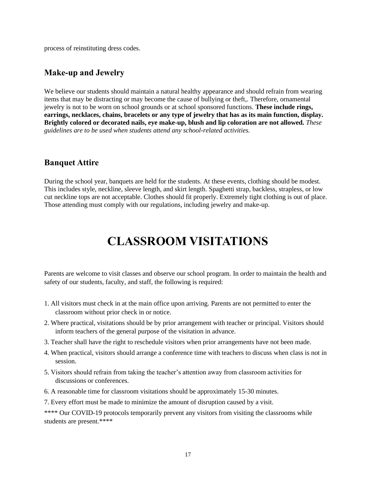process of reinstituting dress codes.

### **Make-up and Jewelry**

We believe our students should maintain a natural healthy appearance and should refrain from wearing items that may be distracting or may become the cause of bullying or theft,. Therefore, ornamental jewelry is not to be worn on school grounds or at school sponsored functions. **These include rings, earrings, necklaces, chains, bracelets or any type of jewelry that has as its main function, display. Brightly colored or decorated nails, eye make-up, blush and lip coloration are not allowed.** *These guidelines are to be used when students attend any school-related activities.*

### **Banquet Attire**

During the school year, banquets are held for the students. At these events, clothing should be modest. This includes style, neckline, sleeve length, and skirt length. Spaghetti strap, backless, strapless, or low cut neckline tops are not acceptable. Clothes should fit properly. Extremely tight clothing is out of place. Those attending must comply with our regulations, including jewelry and make-up.

## **CLASSROOM VISITATIONS**

Parents are welcome to visit classes and observe our school program. In order to maintain the health and safety of our students, faculty, and staff, the following is required:

- 1. All visitors must check in at the main office upon arriving. Parents are not permitted to enter the classroom without prior check in or notice.
- 2. Where practical, visitations should be by prior arrangement with teacher or principal. Visitors should inform teachers of the general purpose of the visitation in advance.
- 3. Teacher shall have the right to reschedule visitors when prior arrangements have not been made.
- 4. When practical, visitors should arrange a conference time with teachers to discuss when class is not in session.
- 5. Visitors should refrain from taking the teacher's attention away from classroom activities for discussions or conferences.
- 6. A reasonable time for classroom visitations should be approximately 15-30 minutes.
- 7. Every effort must be made to minimize the amount of disruption caused by a visit.

\*\*\*\* Our COVID-19 protocols temporarily prevent any visitors from visiting the classrooms while students are present.\*\*\*\*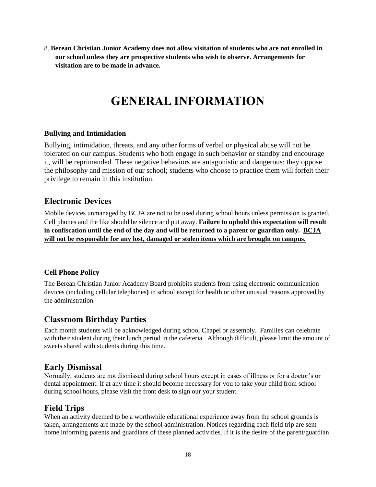8. **Berean Christian Junior Academy does not allow visitation of students who are not enrolled in our school unless they are prospective students who wish to observe. Arrangements for visitation are to be made in advance.**

## **GENERAL INFORMATION**

### **Bullying and Intimidation**

Bullying, intimidation, threats, and any other forms of verbal or physical abuse will not be tolerated on our campus. Students who both engage in such behavior or standby and encourage it, will be reprimanded. These negative behaviors are antagonistic and dangerous; they oppose the philosophy and mission of our school; students who choose to practice them will forfeit their privilege to remain in this institution.

### **Electronic Devices**

Mobile devices unmanaged by BCJA are not to be used during school hours unless permission is granted. Cell phones and the like should be silence and put away. **Failure to uphold this expectation will result in confiscation until the end of the day and will be returned to a parent or guardian only. BCJA will not be responsible for any lost, damaged or stolen items which are brought on campus.**

### **Cell Phone Policy**

The Berean Christian Junior Academy Board prohibits students from using electronic communication devices (including cellular telephones**)** in school except for health or other unusual reasons approved by the administration.

### **Classroom Birthday Parties**

Each month students will be acknowledged during school Chapel or assembly. Families can celebrate with their student during their lunch period in the cafeteria. Although difficult, please limit the amount of sweets shared with students during this time.

### **Early Dismissal**

Normally, students are not dismissed during school hours except in cases of illness or for a doctor's or dental appointment. If at any time it should become necessary for you to take your child from school during school hours, please visit the front desk to sign our your student.

### **Field Trips**

When an activity deemed to be a worthwhile educational experience away from the school grounds is taken, arrangements are made by the school administration. Notices regarding each field trip are sent home informing parents and guardians of these planned activities. If it is the desire of the parent/guardian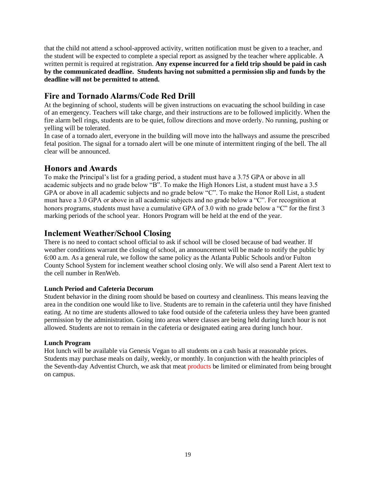that the child not attend a school-approved activity, written notification must be given to a teacher, and the student will be expected to complete a special report as assigned by the teacher where applicable. A written permit is required at registration. **Any expense incurred for a field trip should be paid in cash by the communicated deadline. Students having not submitted a permission slip and funds by the deadline will not be permitted to attend.** 

## **Fire and Tornado Alarms/Code Red Drill**

At the beginning of school, students will be given instructions on evacuating the school building in case of an emergency. Teachers will take charge, and their instructions are to be followed implicitly. When the fire alarm bell rings, students are to be quiet, follow directions and move orderly. No running, pushing or yelling will be tolerated.

In case of a tornado alert, everyone in the building will move into the hallways and assume the prescribed fetal position. The signal for a tornado alert will be one minute of intermittent ringing of the bell. The all clear will be announced.

## **Honors and Awards**

To make the Principal's list for a grading period, a student must have a 3.75 GPA or above in all academic subjects and no grade below "B". To make the High Honors List, a student must have a 3.5 GPA or above in all academic subjects and no grade below "C". To make the Honor Roll List, a student must have a 3.0 GPA or above in all academic subjects and no grade below a "C". For recognition at honors programs, students must have a cumulative GPA of 3.0 with no grade below a "C" for the first 3 marking periods of the school year. Honors Program will be held at the end of the year.

## **Inclement Weather/School Closing**

There is no need to contact school official to ask if school will be closed because of bad weather. If weather conditions warrant the closing of school, an announcement will be made to notify the public by 6:00 a.m. As a general rule, we follow the same policy as the Atlanta Public Schools and/or Fulton County School System for inclement weather school closing only. We will also send a Parent Alert text to the cell number in RenWeb.

### **Lunch Period and Cafeteria Decorum**

Student behavior in the dining room should be based on courtesy and cleanliness. This means leaving the area in the condition one would like to live. Students are to remain in the cafeteria until they have finished eating. At no time are students allowed to take food outside of the cafeteria unless they have been granted permission by the administration. Going into areas where classes are being held during lunch hour is not allowed. Students are not to remain in the cafeteria or designated eating area during lunch hour.

### **Lunch Program**

Hot lunch will be available via Genesis Vegan to all students on a cash basis at reasonable prices. Students may purchase meals on daily, weekly, or monthly. In conjunction with the health principles of the Seventh-day Adventist Church, we ask that meat products be limited or eliminated from being brought on campus.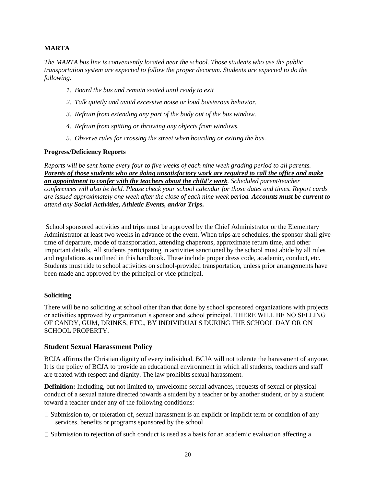#### **MARTA**

*The MARTA bus line is conveniently located near the school. Those students who use the public transportation system are expected to follow the proper decorum. Students are expected to do the following:*

- *1. Board the bus and remain seated until ready to exit*
- *2. Talk quietly and avoid excessive noise or loud boisterous behavior.*
- *3. Refrain from extending any part of the body out of the bus window.*
- *4. Refrain from spitting or throwing any objects from windows.*
- *5. Observe rules for crossing the street when boarding or exiting the bus.*

#### **Progress/Deficiency Reports**

*Reports will be sent home every four to five weeks of each nine week grading period to all parents. Parents of those students who are doing unsatisfactory work are required to call the office and make an appointment to confer with the teachers about the child's work. Scheduled parent/teacher conferences will also be held. Please check your school calendar for those dates and times. Report cards are issued approximately one week after the close of each nine week period. Accounts must be current to attend any Social Activities, Athletic Events, and/or Trips.*

School sponsored activities and trips must be approved by the Chief Administrator or the Elementary Administrator at least two weeks in advance of the event. When trips are schedules, the sponsor shall give time of departure, mode of transportation, attending chaperons, approximate return time, and other important details. All students participating in activities sanctioned by the school must abide by all rules and regulations as outlined in this handbook. These include proper dress code, academic, conduct, etc. Students must ride to school activities on school-provided transportation, unless prior arrangements have been made and approved by the principal or vice principal.

#### **Soliciting**

There will be no soliciting at school other than that done by school sponsored organizations with projects or activities approved by organization's sponsor and school principal. THERE WILL BE NO SELLING OF CANDY, GUM, DRINKS, ETC., BY INDIVIDUALS DURING THE SCHOOL DAY OR ON SCHOOL PROPERTY.

#### **Student Sexual Harassment Policy**

BCJA affirms the Christian dignity of every individual. BCJA will not tolerate the harassment of anyone. It is the policy of BCJA to provide an educational environment in which all students, teachers and staff are treated with respect and dignity. The law prohibits sexual harassment.

**Definition:** Including, but not limited to, unwelcome sexual advances, requests of sexual or physical conduct of a sexual nature directed towards a student by a teacher or by another student, or by a student toward a teacher under any of the following conditions:

- $\Box$  Submission to, or toleration of, sexual harassment is an explicit or implicit term or condition of any services, benefits or programs sponsored by the school
- $\Box$  Submission to rejection of such conduct is used as a basis for an academic evaluation affecting a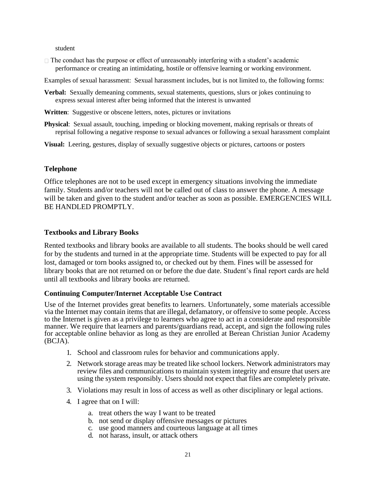student

 $\Box$  The conduct has the purpose or effect of unreasonably interfering with a student's academic performance or creating an intimidating, hostile or offensive learning or working environment.

Examples of sexual harassment: Sexual harassment includes, but is not limited to, the following forms:

- **Verbal:** Sexually demeaning comments, sexual statements, questions, slurs or jokes continuing to express sexual interest after being informed that the interest is unwanted
- **Written:** Suggestive or obscene letters, notes, pictures or invitations
- **Physical**: Sexual assault, touching, impeding or blocking movement, making reprisals or threats of reprisal following a negative response to sexual advances or following a sexual harassment complaint
- **Visual:** Leering, gestures, display of sexually suggestive objects or pictures, cartoons or posters

#### **Telephone**

Office telephones are not to be used except in emergency situations involving the immediate family. Students and/or teachers will not be called out of class to answer the phone. A message will be taken and given to the student and/or teacher as soon as possible. EMERGENCIES WILL BE HANDLED PROMPTLY.

#### **Textbooks and Library Books**

Rented textbooks and library books are available to all students. The books should be well cared for by the students and turned in at the appropriate time. Students will be expected to pay for all lost, damaged or torn books assigned to, or checked out by them. Fines will be assessed for library books that are not returned on or before the due date. Student's final report cards are held until all textbooks and library books are returned.

### **Continuing Computer/Internet Acceptable Use Contract**

Use of the Internet provides great benefits to learners. Unfortunately, some materials accessible via the Internet may contain items that are illegal, defamatory, or offensive to some people. Access to the Internet is given as a privilege to learners who agree to act in a considerate and responsible manner. We require that learners and parents/guardians read, accept, and sign the following rules for acceptable online behavior as long as they are enrolled at Berean Christian Junior Academy (BCJA).

- 1. School and classroom rules for behavior and communications apply.
- 2. Network storage areas may be treated like school lockers. Network administrators may review files and communications to maintain system integrity and ensure that users are using the system responsibly. Users should not expect that files are completely private.
- 3. Violations may result in loss of access as well as other disciplinary or legal actions.
- 4. I agree that on I will:
	- a. treat others the way I want to be treated
	- b. not send or display offensive messages or pictures
	- c. use good manners and courteous language at all times
	- d. not harass, insult, or attack others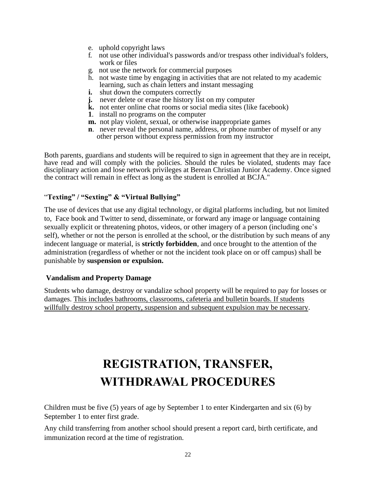- e. uphold copyright laws
- f. not use other individual's passwords and/or trespass other individual's folders, work or files
- g. not use the network for commercial purposes
- h. not waste time by engaging in activities that are not related to my academic learning, such as chain letters and instant messaging
- **i.** shut down the computers correctly
- **j.** never delete or erase the history list on my computer
- **k.** not enter online chat rooms or social media sites (like facebook)
- **1**. install no programs on the computer
- **m.** not play violent, sexual, or otherwise inappropriate games
- **n**. never reveal the personal name, address, or phone number of myself or any other person without express permission from my instructor

Both parents, guardians and students will be required to sign in agreement that they are in receipt, have read and will comply with the policies. Should the rules be violated, students may face disciplinary action and lose network privileges at Berean Christian Junior Academy. Once signed the contract will remain in effect as long as the student is enrolled at BCJA."

### "**Texting" / "Sexting" & "Virtual Bullying"**

The use of devices that use any digital technology, or digital platforms including, but not limited to, Face book and Twitter to send, disseminate, or forward any image or language containing sexually explicit or threatening photos, videos, or other imagery of a person (including one's self), whether or not the person is enrolled at the school, or the distribution by such means of any indecent language or material, is **strictly forbidden**, and once brought to the attention of the administration (regardless of whether or not the incident took place on or off campus) shall be punishable by **suspension or expulsion.** 

### **Vandalism and Property Damage**

Students who damage, destroy or vandalize school property will be required to pay for losses or damages. This includes bathrooms, classrooms, cafeteria and bulletin boards. If students willfully destroy school property, suspension and subsequent expulsion may be necessary.

# **REGISTRATION, TRANSFER, WITHDRAWAL PROCEDURES**

Children must be five (5) years of age by September 1 to enter Kindergarten and six (6) by September 1 to enter first grade.

Any child transferring from another school should present a report card, birth certificate, and immunization record at the time of registration.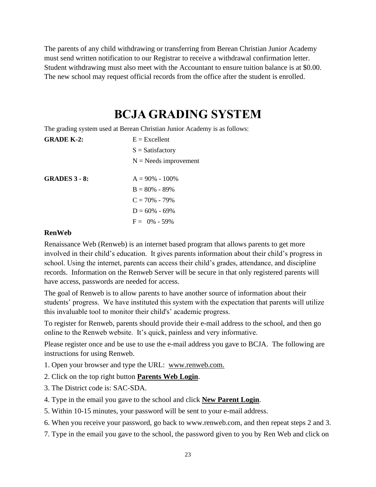The parents of any child withdrawing or transferring from Berean Christian Junior Academy must send written notification to our Registrar to receive a withdrawal confirmation letter. Student withdrawing must also meet with the Accountant to ensure tuition balance is at \$0.00. The new school may request official records from the office after the student is enrolled.

## **BCJA GRADING SYSTEM**

The grading system used at Berean Christian Junior Academy is as follows:

| <b>GRADE K-2:</b>    | $E = Excellent$         |
|----------------------|-------------------------|
|                      | $S = Satisfactory$      |
|                      | $N =$ Needs improvement |
| <b>GRADES 3 - 8:</b> | $A = 90\% - 100\%$      |
|                      | $B = 80\% - 89\%$       |
|                      | $C = 70\% - 79\%$       |
|                      | $D = 60\% - 69\%$       |
|                      | $F = 0\% - 59\%$        |

#### **RenWeb**

Renaissance Web (Renweb) is an internet based program that allows parents to get more involved in their child's education. It gives parents information about their child's progress in school. Using the internet, parents can access their child's grades, attendance, and discipline records. Information on the Renweb Server will be secure in that only registered parents will have access, passwords are needed for access.

The goal of Renweb is to allow parents to have another source of information about their students' progress. We have instituted this system with the expectation that parents will utilize this invaluable tool to monitor their child's' academic progress.

To register for Renweb, parents should provide their e-mail address to the school, and then go online to the Renweb website. It's quick, painless and very informative.

Please register once and be use to use the e-mail address you gave to BCJA. The following are instructions for using Renweb.

1. Open your browser and type the URL: www.renweb.com.

- 2. Click on the top right button **Parents Web Login**.
- 3. The District code is: SAC-SDA.
- 4. Type in the email you gave to the school and click **New Parent Login**.
- 5. Within 10-15 minutes, your password will be sent to your e-mail address.

6. When you receive your password, go back to [www.renweb.com,](http://www.renweb.com/) and then repeat steps 2 and 3.

7. Type in the email you gave to the school, the password given to you by Ren Web and click on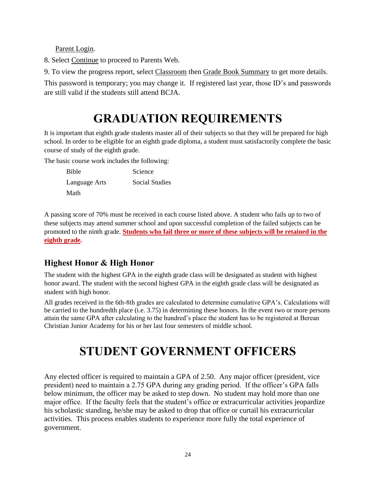Parent Login.

8. Select Continue to proceed to Parents Web.

9. To view the progress report, select Classroom then Grade Book Summary to get more details.

This password is temporary; you may change it. If registered last year, those ID's and passwords are still valid if the students still attend BCJA.

# **GRADUATION REQUIREMENTS**

It is important that eighth grade students master all of their subjects so that they will be prepared for high school. In order to be eligible for an eighth grade diploma, a student must satisfactorily complete the basic course of study of the eighth grade.

The basic course work includes the following:

Bible Science Language Arts Social Studies Math

A passing score of 70% must be received in each course listed above. A student who fails up to two of these subjects may attend summer school and upon successful completion of the failed subjects can be promoted to the ninth grade. **Students who fail three or more of these subjects will be retained in the eighth grade.**

## **Highest Honor & High Honor**

The student with the highest GPA in the eighth grade class will be designated as student with highest honor award. The student with the second highest GPA in the eighth grade class will be designated as student with high honor.

All grades received in the 6th-8th grades are calculated to determine cumulative GPA's. Calculations will be carried to the hundredth place (i.e. 3.75) in determining these honors. In the event two or more persons attain the same GPA after calculating to the hundred's place the student has to be registered at Berean Christian Junior Academy for his or her last four semesters of middle school.

# **STUDENT GOVERNMENT OFFICERS**

Any elected officer is required to maintain a GPA of 2.50. Any major officer (president, vice president) need to maintain a 2.75 GPA during any grading period. If the officer's GPA falls below minimum, the officer may be asked to step down. No student may hold more than one major office. If the faculty feels that the student's office or extracurricular activities jeopardize his scholastic standing, he/she may be asked to drop that office or curtail his extracurricular activities. This process enables students to experience more fully the total experience of government.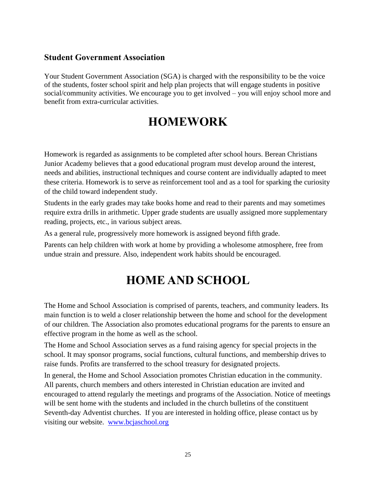## **Student Government Association**

Your Student Government Association (SGA) is charged with the responsibility to be the voice of the students, foster school spirit and help plan projects that will engage students in positive social/community activities. We encourage you to get involved – you will enjoy school more and benefit from extra-curricular activities.

## **HOMEWORK**

Homework is regarded as assignments to be completed after school hours. Berean Christians Junior Academy believes that a good educational program must develop around the interest, needs and abilities, instructional techniques and course content are individually adapted to meet these criteria. Homework is to serve as reinforcement tool and as a tool for sparking the curiosity of the child toward independent study.

Students in the early grades may take books home and read to their parents and may sometimes require extra drills in arithmetic. Upper grade students are usually assigned more supplementary reading, projects, etc., in various subject areas.

As a general rule, progressively more homework is assigned beyond fifth grade.

Parents can help children with work at home by providing a wholesome atmosphere, free from undue strain and pressure. Also, independent work habits should be encouraged.

# **HOME AND SCHOOL**

The Home and School Association is comprised of parents, teachers, and community leaders. Its main function is to weld a closer relationship between the home and school for the development of our children. The Association also promotes educational programs for the parents to ensure an effective program in the home as well as the school.

The Home and School Association serves as a fund raising agency for special projects in the school. It may sponsor programs, social functions, cultural functions, and membership drives to raise funds. Profits are transferred to the school treasury for designated projects.

In general, the Home and School Association promotes Christian education in the community. All parents, church members and others interested in Christian education are invited and encouraged to attend regularly the meetings and programs of the Association. Notice of meetings will be sent home with the students and included in the church bulletins of the constituent Seventh-day Adventist churches. If you are interested in holding office, please contact us by visiting our website. [www.bcjaschool.org](http://www.bcjaschool.org/)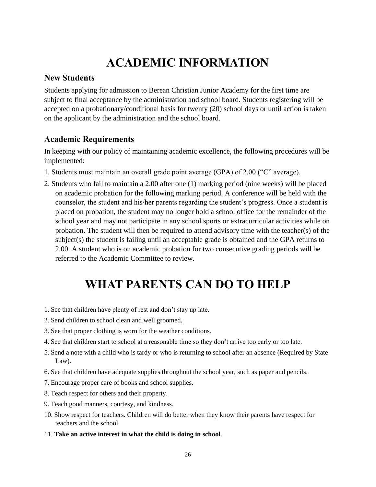# **ACADEMIC INFORMATION**

### **New Students**

Students applying for admission to Berean Christian Junior Academy for the first time are subject to final acceptance by the administration and school board. Students registering will be accepted on a probationary/conditional basis for twenty (20) school days or until action is taken on the applicant by the administration and the school board.

## **Academic Requirements**

In keeping with our policy of maintaining academic excellence, the following procedures will be implemented:

- 1. Students must maintain an overall grade point average (GPA) of 2.00 ("C" average).
- 2. Students who fail to maintain a 2.00 after one (1) marking period (nine weeks) will be placed on academic probation for the following marking period. A conference will be held with the counselor, the student and his/her parents regarding the student's progress. Once a student is placed on probation, the student may no longer hold a school office for the remainder of the school year and may not participate in any school sports or extracurricular activities while on probation. The student will then be required to attend advisory time with the teacher(s) of the subject(s) the student is failing until an acceptable grade is obtained and the GPA returns to 2.00. A student who is on academic probation for two consecutive grading periods will be referred to the Academic Committee to review.

## **WHAT PARENTS CAN DO TO HELP**

- 1. See that children have plenty of rest and don't stay up late.
- 2. Send children to school clean and well groomed.
- 3. See that proper clothing is worn for the weather conditions.
- 4. See that children start to school at a reasonable time so they don't arrive too early or too late.
- 5. Send a note with a child who is tardy or who is returning to school after an absence (Required by State Law).
- 6. See that children have adequate supplies throughout the school year, such as paper and pencils.
- 7. Encourage proper care of books and school supplies.
- 8. Teach respect for others and their property.
- 9. Teach good manners, courtesy, and kindness.
- 10. Show respect for teachers. Children will do better when they know their parents have respect for teachers and the school.
- 11. **Take an active interest in what the child is doing in school**.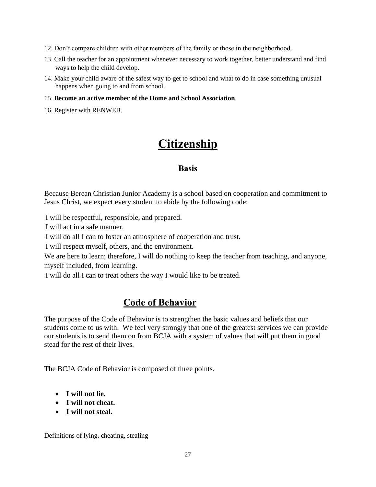- 12. Don't compare children with other members of the family or those in the neighborhood.
- 13. Call the teacher for an appointment whenever necessary to work together, better understand and find ways to help the child develop.
- 14. Make your child aware of the safest way to get to school and what to do in case something unusual happens when going to and from school.

#### 15. **Become an active member of the Home and School Association**.

16. Register with RENWEB.

## **Citizenship**

### **Basis**

Because Berean Christian Junior Academy is a school based on cooperation and commitment to Jesus Christ, we expect every student to abide by the following code:

I will be respectful, responsible, and prepared.

I will act in a safe manner.

I will do all I can to foster an atmosphere of cooperation and trust.

I will respect myself, others, and the environment.

We are here to learn; therefore, I will do nothing to keep the teacher from teaching, and anyone, myself included, from learning.

I will do all I can to treat others the way I would like to be treated.

## **Code of Behavior**

The purpose of the Code of Behavior is to strengthen the basic values and beliefs that our students come to us with. We feel very strongly that one of the greatest services we can provide our students is to send them on from BCJA with a system of values that will put them in good stead for the rest of their lives.

The BCJA Code of Behavior is composed of three points.

- **I will not lie.**
- **I will not cheat.**
- **I will not steal.**

Definitions of lying, cheating, stealing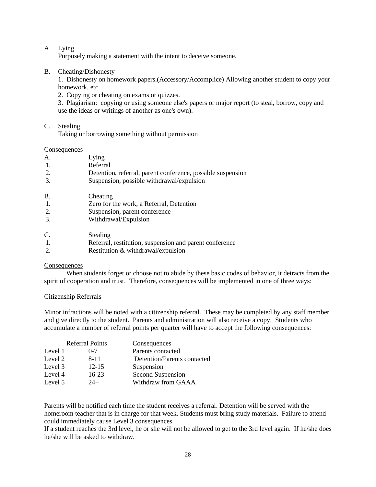#### A. Lying

Purposely making a statement with the intent to deceive someone.

#### B. Cheating/Dishonesty

1. Dishonesty on homework papers.(Accessory/Accomplice) Allowing another student to copy your homework, etc.

2. Copying or cheating on exams or quizzes.

3. Plagiarism: copying or using someone else's papers or major report (to steal, borrow, copy and use the ideas or writings of another as one's own).

C. Stealing

Taking or borrowing something without permission

**Consequences** 

| A.        | Lying                                                       |
|-----------|-------------------------------------------------------------|
| -1.       | Referral                                                    |
| 2.        | Detention, referral, parent conference, possible suspension |
| 3.        | Suspension, possible withdrawal/expulsion                   |
| <b>B.</b> | Cheating                                                    |
| -1.       | Zero for the work, a Referral, Detention                    |
| 2.        | Suspension, parent conference                               |
| 3.        | Withdrawal/Expulsion                                        |
| C.        | Stealing                                                    |
| -1.       | Referral, restitution, suspension and parent conference     |
|           | Restitution & withdrawal/expulsion                          |

#### Consequences

When students forget or choose not to abide by these basic codes of behavior, it detracts from the spirit of cooperation and trust. Therefore, consequences will be implemented in one of three ways:

#### Citizenship Referrals

Minor infractions will be noted with a citizenship referral. These may be completed by any staff member and give directly to the student. Parents and administration will also receive a copy. Students who accumulate a number of referral points per quarter will have to accept the following consequences:

|         | <b>Referral Points</b> | Consequences                |
|---------|------------------------|-----------------------------|
| Level 1 | $0 - 7$                | Parents contacted           |
| Level 2 | $8 - 11$               | Detention/Parents contacted |
| Level 3 | $12 - 15$              | Suspension                  |
| Level 4 | $16-23$                | Second Suspension           |
| Level 5 | $24+$                  | Withdraw from GAAA          |

Parents will be notified each time the student receives a referral. Detention will be served with the homeroom teacher that is in charge for that week. Students must bring study materials. Failure to attend could immediately cause Level 3 consequences.

If a student reaches the 3rd level, he or she will not be allowed to get to the 3rd level again. If he/she does he/she will be asked to withdraw.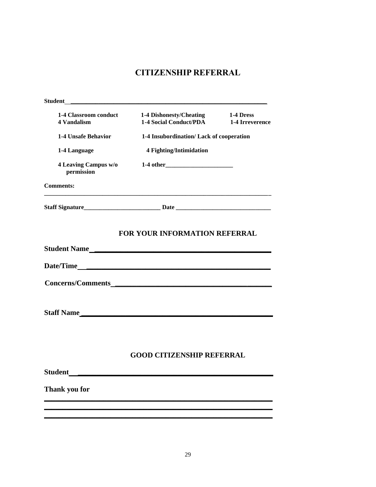## **CITIZENSHIP REFERRAL**

| <b>Student</b>                              |                                                          |                              |
|---------------------------------------------|----------------------------------------------------------|------------------------------|
| 1-4 Classroom conduct<br><b>4 Vandalism</b> | 1-4 Dishonesty/Cheating<br><b>1-4 Social Conduct/PDA</b> | 1-4 Dress<br>1-4 Irreverence |
| <b>1-4 Unsafe Behavior</b>                  | 1-4 Insubordination/ Lack of cooperation                 |                              |
| 1-4 Language                                | 4 Fighting/Intimidation                                  |                              |
| 4 Leaving Campus w/o<br>permission          |                                                          |                              |
| <b>Comments:</b>                            |                                                          |                              |
|                                             |                                                          |                              |
|                                             | <b>FOR YOUR INFORMATION REFERRAL</b>                     |                              |
|                                             | Student Name                                             |                              |
|                                             |                                                          |                              |
|                                             |                                                          |                              |
|                                             |                                                          |                              |
|                                             |                                                          |                              |
|                                             |                                                          |                              |
|                                             |                                                          |                              |
|                                             | <b>GOOD CITIZENSHIP REFERRAL</b>                         |                              |
| <b>Student</b>                              |                                                          |                              |
| Thank you for                               |                                                          |                              |
|                                             |                                                          |                              |
|                                             |                                                          |                              |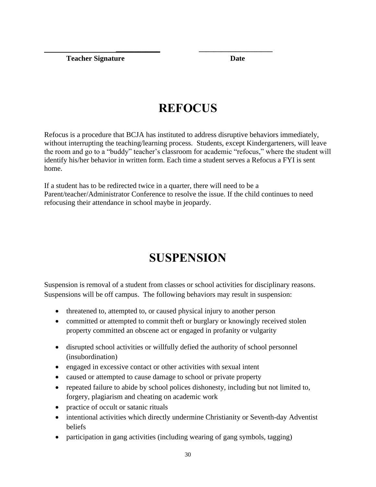**Teacher Signature Date** 

# **REFOCUS**

 **\_\_\_\_\_\_\_\_\_\_\_\_ \_\_\_\_\_\_\_\_\_\_\_\_\_\_\_\_\_\_\_\_** 

Refocus is a procedure that BCJA has instituted to address disruptive behaviors immediately, without interrupting the teaching/learning process. Students, except Kindergarteners, will leave the room and go to a "buddy" teacher's classroom for academic "refocus," where the student will identify his/her behavior in written form. Each time a student serves a Refocus a FYI is sent home.

If a student has to be redirected twice in a quarter, there will need to be a Parent/teacher/Administrator Conference to resolve the issue. If the child continues to need refocusing their attendance in school maybe in jeopardy.

# **SUSPENSION**

Suspension is removal of a student from classes or school activities for disciplinary reasons. Suspensions will be off campus. The following behaviors may result in suspension:

- threatened to, attempted to, or caused physical injury to another person
- committed or attempted to commit theft or burglary or knowingly received stolen property committed an obscene act or engaged in profanity or vulgarity
- disrupted school activities or willfully defied the authority of school personnel (insubordination)
- engaged in excessive contact or other activities with sexual intent
- caused or attempted to cause damage to school or private property
- repeated failure to abide by school polices dishonesty, including but not limited to, forgery, plagiarism and cheating on academic work
- practice of occult or satanic rituals
- intentional activities which directly undermine Christianity or Seventh-day Adventist beliefs
- participation in gang activities (including wearing of gang symbols, tagging)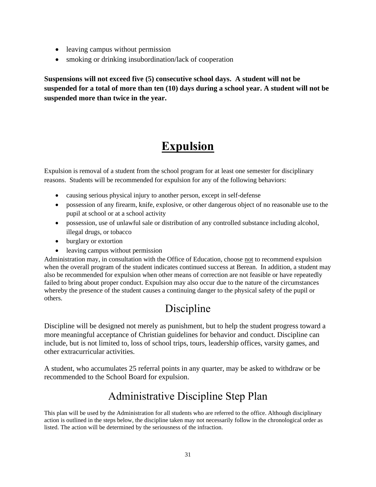- leaving campus without permission
- smoking or drinking insubordination/lack of cooperation

**Suspensions will not exceed five (5) consecutive school days. A student will not be suspended for a total of more than ten (10) days during a school year. A student will not be suspended more than twice in the year.**

# **Expulsion**

Expulsion is removal of a student from the school program for at least one semester for disciplinary reasons. Students will be recommended for expulsion for any of the following behaviors:

- causing serious physical injury to another person, except in self-defense
- possession of any firearm, knife, explosive, or other dangerous object of no reasonable use to the pupil at school or at a school activity
- possession, use of unlawful sale or distribution of any controlled substance including alcohol, illegal drugs, or tobacco
- burglary or extortion
- leaving campus without permission

Administration may, in consultation with the Office of Education, choose not to recommend expulsion when the overall program of the student indicates continued success at Berean. In addition, a student may also be recommended for expulsion when other means of correction are not feasible or have repeatedly failed to bring about proper conduct. Expulsion may also occur due to the nature of the circumstances whereby the presence of the student causes a continuing danger to the physical safety of the pupil or others.

## Discipline

Discipline will be designed not merely as punishment, but to help the student progress toward a more meaningful acceptance of Christian guidelines for behavior and conduct. Discipline can include, but is not limited to, loss of school trips, tours, leadership offices, varsity games, and other extracurricular activities.

A student, who accumulates 25 referral points in any quarter, may be asked to withdraw or be recommended to the School Board for expulsion.

## Administrative Discipline Step Plan

This plan will be used by the Administration for all students who are referred to the office. Although disciplinary action is outlined in the steps below, the discipline taken may not necessarily follow in the chronological order as listed. The action will be determined by the seriousness of the infraction.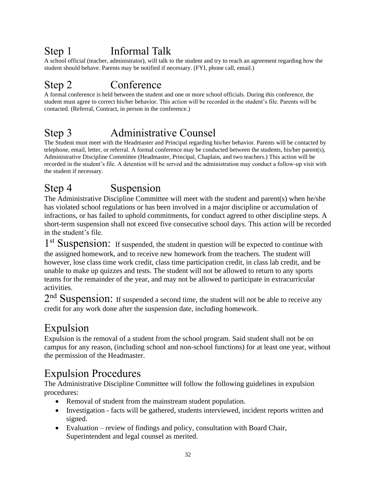## Step 1 Informal Talk

A school official (teacher, administrator), will talk to the student and try to reach an agreement regarding how the student should behave. Parents may be notified if necessary. (FYI, phone call, email.)

## Step 2 Conference

A formal conference is held between the student and one or more school officials. During this conference, the student must agree to correct his/her behavior. This action will be recorded in the student's file. Parents will be contacted. (Referral, Contract, in person in the conference.)

## Step 3 Administrative Counsel

The Student must meet with the Headmaster and Principal regarding his/her behavior. Parents will be contacted by telephone, email, letter, or referral. A formal conference may be conducted between the students, his/her parent(s), Administrative Discipline Committee (Headmaster, Principal, Chaplain, and two teachers.) This action will be recorded in the student's file. A detention will be served and the administration may conduct a follow-up visit with the student if necessary.

## Step 4 Suspension

The Administrative Discipline Committee will meet with the student and parent(s) when he/she has violated school regulations or has been involved in a major discipline or accumulation of infractions, or has failed to uphold commitments, for conduct agreed to other discipline steps. A short-term suspension shall not exceed five consecutive school days. This action will be recorded in the student's file.

1<sup>st</sup> Suspension: If suspended, the student in question will be expected to continue with the assigned homework, and to receive new homework from the teachers. The student will however, lose class time work credit, class time participation credit, in class lab credit, and be unable to make up quizzes and tests. The student will not be allowed to return to any sports teams for the remainder of the year, and may not be allowed to participate in extracurricular activities.

 $2<sup>nd</sup>$  Suspension: If suspended a second time, the student will not be able to receive any credit for any work done after the suspension date, including homework.

## Expulsion

Expulsion is the removal of a student from the school program. Said student shall not be on campus for any reason, (including school and non-school functions) for at least one year, without the permission of the Headmaster.

## Expulsion Procedures

The Administrative Discipline Committee will follow the following guidelines in expulsion procedures:

- Removal of student from the mainstream student population.
- Investigation facts will be gathered, students interviewed, incident reports written and signed.
- Evaluation review of findings and policy, consultation with Board Chair, Superintendent and legal counsel as merited.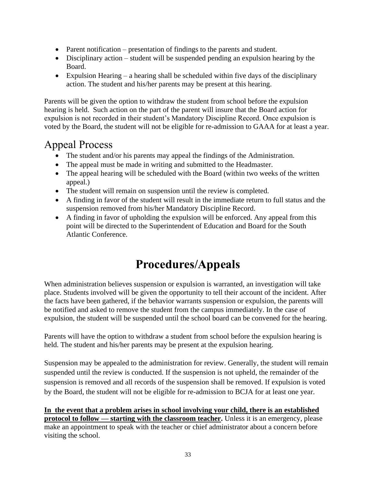- Parent notification presentation of findings to the parents and student.
- Disciplinary action student will be suspended pending an expulsion hearing by the Board.
- Expulsion Hearing a hearing shall be scheduled within five days of the disciplinary action. The student and his/her parents may be present at this hearing.

Parents will be given the option to withdraw the student from school before the expulsion hearing is held. Such action on the part of the parent will insure that the Board action for expulsion is not recorded in their student's Mandatory Discipline Record. Once expulsion is voted by the Board, the student will not be eligible for re-admission to GAAA for at least a year.

## Appeal Process

- The student and/or his parents may appeal the findings of the Administration.
- The appeal must be made in writing and submitted to the Headmaster.
- The appeal hearing will be scheduled with the Board (within two weeks of the written appeal.)
- The student will remain on suspension until the review is completed.
- A finding in favor of the student will result in the immediate return to full status and the suspension removed from his/her Mandatory Discipline Record.
- A finding in favor of upholding the expulsion will be enforced. Any appeal from this point will be directed to the Superintendent of Education and Board for the South Atlantic Conference.

# **Procedures/Appeals**

When administration believes suspension or expulsion is warranted, an investigation will take place. Students involved will be given the opportunity to tell their account of the incident. After the facts have been gathered, if the behavior warrants suspension or expulsion, the parents will be notified and asked to remove the student from the campus immediately. In the case of expulsion, the student will be suspended until the school board can be convened for the hearing.

Parents will have the option to withdraw a student from school before the expulsion hearing is held. The student and his/her parents may be present at the expulsion hearing.

Suspension may be appealed to the administration for review. Generally, the student will remain suspended until the review is conducted. If the suspension is not upheld, the remainder of the suspension is removed and all records of the suspension shall be removed. If expulsion is voted by the Board, the student will not be eligible for re-admission to BCJA for at least one year.

**In the event that a problem arises in school involving your child, there is an established protocol to follow — starting with the classroom teacher.** Unless it is an emergency, please make an appointment to speak with the teacher or chief administrator about a concern before visiting the school.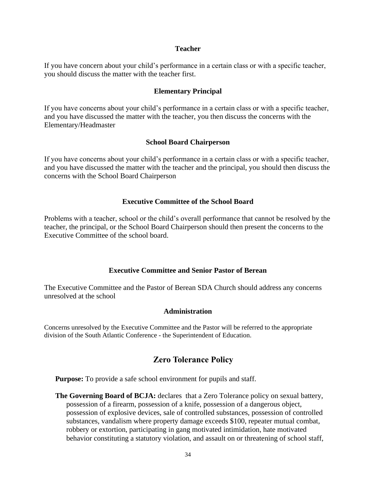#### **Teacher**

If you have concern about your child's performance in a certain class or with a specific teacher, you should discuss the matter with the teacher first.

### **Elementary Principal**

If you have concerns about your child's performance in a certain class or with a specific teacher, and you have discussed the matter with the teacher, you then discuss the concerns with the Elementary/Headmaster

### **School Board Chairperson**

If you have concerns about your child's performance in a certain class or with a specific teacher, and you have discussed the matter with the teacher and the principal, you should then discuss the concerns with the School Board Chairperson

### **Executive Committee of the School Board**

Problems with a teacher, school or the child's overall performance that cannot be resolved by the teacher, the principal, or the School Board Chairperson should then present the concerns to the Executive Committee of the school board.

### **Executive Committee and Senior Pastor of Berean**

The Executive Committee and the Pastor of Berean SDA Church should address any concerns unresolved at the school

### **Administration**

Concerns unresolved by the Executive Committee and the Pastor will be referred to the appropriate division of the South Atlantic Conference - the Superintendent of Education.

## **Zero Tolerance Policy**

**Purpose:** To provide a safe school environment for pupils and staff.

The Governing Board of BCJA: declares that a Zero Tolerance policy on sexual battery, possession of a firearm, possession of a knife, possession of a dangerous object, possession of explosive devices, sale of controlled substances, possession of controlled substances, vandalism where property damage exceeds \$100, repeater mutual combat, robbery or extortion, participating in gang motivated intimidation, hate motivated behavior constituting a statutory violation, and assault on or threatening of school staff,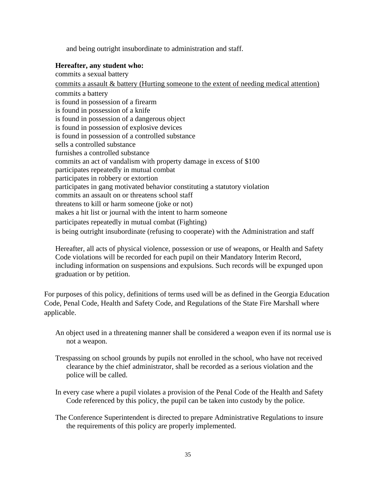and being outright insubordinate to administration and staff.

#### **Hereafter, any student who:**

commits a sexual battery commits a assault & battery (Hurting someone to the extent of needing medical attention) commits a battery is found in possession of a firearm is found in possession of a knife is found in possession of a dangerous object is found in possession of explosive devices is found in possession of a controlled substance sells a controlled substance furnishes a controlled substance commits an act of vandalism with property damage in excess of \$100 participates repeatedly in mutual combat participates in robbery or extortion participates in gang motivated behavior constituting a statutory violation commits an assault on or threatens school staff threatens to kill or harm someone (joke or not) makes a hit list or journal with the intent to harm someone participates repeatedly in mutual combat (Fighting) is being outright insubordinate (refusing to cooperate) with the Administration and staff

Hereafter, all acts of physical violence, possession or use of weapons, or Health and Safety Code violations will be recorded for each pupil on their Mandatory Interim Record, including information on suspensions and expulsions. Such records will be expunged upon graduation or by petition.

For purposes of this policy, definitions of terms used will be as defined in the Georgia Education Code, Penal Code, Health and Safety Code, and Regulations of the State Fire Marshall where applicable.

- An object used in a threatening manner shall be considered a weapon even if its normal use is not a weapon.
- Trespassing on school grounds by pupils not enrolled in the school, who have not received clearance by the chief administrator, shall be recorded as a serious violation and the police will be called.
- In every case where a pupil violates a provision of the Penal Code of the Health and Safety Code referenced by this policy, the pupil can be taken into custody by the police.
- The Conference Superintendent is directed to prepare Administrative Regulations to insure the requirements of this policy are properly implemented.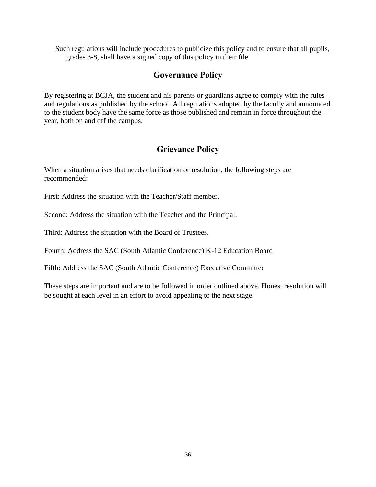Such regulations will include procedures to publicize this policy and to ensure that all pupils, grades 3-8, shall have a signed copy of this policy in their file.

## **Governance Policy**

By registering at BCJA, the student and his parents or guardians agree to comply with the rules and regulations as published by the school. All regulations adopted by the faculty and announced to the student body have the same force as those published and remain in force throughout the year, both on and off the campus.

## **Grievance Policy**

When a situation arises that needs clarification or resolution, the following steps are recommended:

First: Address the situation with the Teacher/Staff member.

Second: Address the situation with the Teacher and the Principal.

Third: Address the situation with the Board of Trustees.

Fourth: Address the SAC (South Atlantic Conference) K-12 Education Board

Fifth: Address the SAC (South Atlantic Conference) Executive Committee

These steps are important and are to be followed in order outlined above. Honest resolution will be sought at each level in an effort to avoid appealing to the next stage.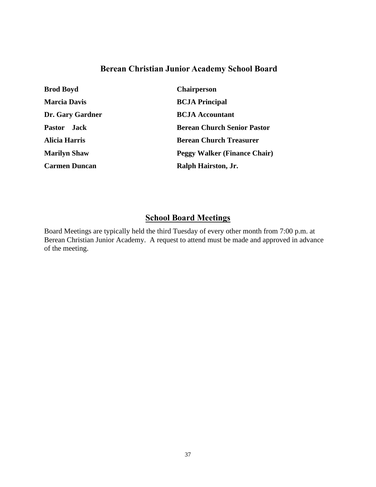## **Berean Christian Junior Academy School Board**

| <b>Brod Boyd</b>     | <b>Chairperson</b>                  |
|----------------------|-------------------------------------|
| <b>Marcia Davis</b>  | <b>BCJA Principal</b>               |
| Dr. Gary Gardner     | <b>BCJA</b> Accountant              |
| Pastor Jack          | <b>Berean Church Senior Pastor</b>  |
| <b>Alicia Harris</b> | <b>Berean Church Treasurer</b>      |
| <b>Marilyn Shaw</b>  | <b>Peggy Walker (Finance Chair)</b> |
| <b>Carmen Duncan</b> | Ralph Hairston, Jr.                 |

## **School Board Meetings**

Board Meetings are typically held the third Tuesday of every other month from 7:00 p.m. at Berean Christian Junior Academy. A request to attend must be made and approved in advance of the meeting.